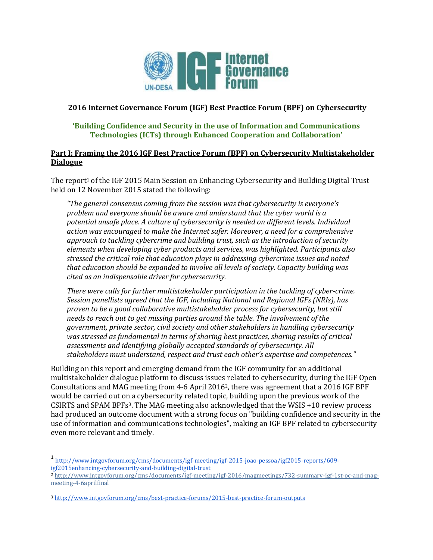

### **2016 Internet Governance Forum (IGF) Best Practice Forum (BPF) on Cybersecurity**

### **'Building Confidence and Security in the use of Information and Communications Technologies (ICTs) through Enhanced Cooperation and Collaboration'**

### **Part I: Framing the 2016 IGF Best Practice Forum (BPF) on Cybersecurity Multistakeholder Dialogue**

The report<sup>1</sup> of the IGF 2015 Main Session on Enhancing Cybersecurity and Building Digital Trust held on 12 November 2015 stated the following:

*"The general consensus coming from the session was that cybersecurity is everyone's problem and everyone should be aware and understand that the cyber world is a potential unsafe place. A culture of cybersecurity is needed on different levels. Individual action was encouraged to make the Internet safer. Moreover, a need for a comprehensive approach to tackling cybercrime and building trust, such as the introduction of security elements when developing cyber products and services, was highlighted. Participants also stressed the critical role that education plays in addressing cybercrime issues and noted that education should be expanded to involve all levels of society. Capacity building was cited as an indispensable driver for cybersecurity.*

*There were calls for further multistakeholder participation in the tackling of cyber-crime. Session panellists agreed that the IGF, including National and Regional IGFs (NRIs), has proven to be a good collaborative multistakeholder process for cybersecurity, but still needs to reach out to get missing parties around the table. The involvement of the government, private sector, civil society and other stakeholders in handling cybersecurity was stressed as fundamental in terms of sharing best practices, sharing results of critical assessments and identifying globally accepted standards of cybersecurity. All stakeholders must understand, respect and trust each other's expertise and competences."* 

Building on this report and emerging demand from the IGF community for an additional multistakeholder dialogue platform to discuss issues related to cybersecurity, during the IGF Open Consultations and MAG meeting from 4-6 April 20162, there was agreement that a 2016 IGF BPF would be carried out on a cybersecurity related topic, building upon the previous work of the CSIRTS and SPAM BPFs3. The MAG meeting also acknowledged that the WSIS +10 review process had produced an outcome document with a strong focus on "building confidence and security in the use of information and communications technologies", making an IGF BPF related to cybersecurity even more relevant and timely.

<sup>1</sup> [http://www.intgovforum.org/cms/documents/igf-meeting/igf-2015-joao-pessoa/igf2015-reports/609](http://www.intgovforum.org/cms/documents/igf-meeting/igf-2015-joao-pessoa/igf2015-reports/609-igf2015enhancing-cybersecurity-and-building-digital-trust) [igf2015enhancing-cybersecurity-and-building-digital-trust](http://www.intgovforum.org/cms/documents/igf-meeting/igf-2015-joao-pessoa/igf2015-reports/609-igf2015enhancing-cybersecurity-and-building-digital-trust)

<sup>2</sup> [http://www.intgovforum.org/cms/documents/igf-meeting/igf-2016/magmeetings/732-summary-igf-1st-oc-and-mag](http://www.intgovforum.org/cms/documents/igf-meeting/igf-2016/magmeetings/732-summary-igf-1st-oc-and-mag-meeting-4-6aprilfinal)[meeting-4-6aprilfinal](http://www.intgovforum.org/cms/documents/igf-meeting/igf-2016/magmeetings/732-summary-igf-1st-oc-and-mag-meeting-4-6aprilfinal)

<sup>3</sup> <http://www.intgovforum.org/cms/best-practice-forums/2015-best-practice-forum-outputs>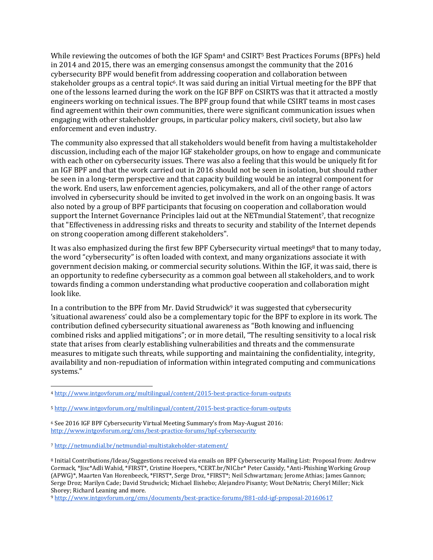While reviewing the outcomes of both the IGF Spam<sup>4</sup> and CSIRT<sup>5</sup> Best Practices Forums (BPFs) held in 2014 and 2015, there was an emerging consensus amongst the community that the 2016 cybersecurity BPF would benefit from addressing cooperation and collaboration between stakeholder groups as a central topic6. It was said during an initial Virtual meeting for the BPF that one of the lessons learned during the work on the IGF BPF on CSIRTS was that it attracted a mostly engineers working on technical issues. The BPF group found that while CSIRT teams in most cases find agreement within their own communities, there were significant communication issues when engaging with other stakeholder groups, in particular policy makers, civil society, but also law enforcement and even industry.

The community also expressed that all stakeholders would benefit from having a multistakeholder discussion, including each of the major IGF stakeholder groups, on how to engage and communicate with each other on cybersecurity issues. There was also a feeling that this would be uniquely fit for an IGF BPF and that the work carried out in 2016 should not be seen in isolation, but should rather be seen in a long-term perspective and that capacity building would be an integral component for the work. End users, law enforcement agencies, policymakers, and all of the other range of actors involved in cybersecurity should be invited to get involved in the work on an ongoing basis. It was also noted by a group of BPF participants that focusing on cooperation and collaboration would support the Internet Governance Principles laid out at the NETmundial Statement7, that recognize that "Effectiveness in addressing risks and threats to security and stability of the Internet depends on strong cooperation among different stakeholders".

It was also emphasized during the first few BPF Cybersecurity virtual meetings<sup>8</sup> that to many today, the word "cybersecurity" is often loaded with context, and many organizations associate it with government decision making, or commercial security solutions. Within the IGF, it was said, there is an opportunity to redefine cybersecurity as a common goal between all stakeholders, and to work towards finding a common understanding what productive cooperation and collaboration might look like.

In a contribution to the BPF from Mr. David Strudwic[k](http://www.intgovforum.org/cms/documents/best-practice-forums/881-cdd-igf-proposal-20160617)<sup>9</sup> it was suggested that cybersecurity 'situational awareness' could also be a complementary topic for the BPF to explore in its work. The contribution defined cybersecurity situational awareness as "Both knowing and influencing combined risks and applied mitigations"; or in more detail, "The resulting sensitivity to a local risk state that arises from clearly establishing vulnerabilities and threats and the commensurate measures to mitigate such threats, while supporting and maintaining the confidentiality, integrity, availability and non-repudiation of information within integrated computing and communications systems."

 $\overline{a}$ 

<sup>4</sup> <http://www.intgovforum.org/multilingual/content/2015-best-practice-forum-outputs>

<sup>5</sup> <http://www.intgovforum.org/multilingual/content/2015-best-practice-forum-outputs>

<sup>6</sup> See 2016 IGF BPF Cybersecurity Virtual Meeting Summary's from May-August 2016: <http://www.intgovforum.org/cms/best-practice-forums/bpf-cybersecurity>

<sup>7</sup> <http://netmundial.br/netmundial-multistakeholder-statement/>

<sup>8</sup> Initial Contributions/Ideas/Suggestions received via emails on BPF Cybersecurity Mailing List: Proposal from: Andrew Cormack, \*Jisc\*Adli Wahid, \*FIRST\*, Cristine Hoepers, \*CERT.br/NIC.br\* Peter Cassidy, \*Anti-Phishing Working Group (APWG)\*, Maarten Van Horenbeeck, \*FIRST\*, Serge Droz, \*FIRST\*; Neil Schwartzman; Jerome Athias; James Gannon; Serge Droz; Marilyn Cade; David Strudwick; Michael Ilishebo; Alejandro Pisanty; Wout DeNatris; Cheryl Miller; Nick Shorey; Richard Leaning and more.

<sup>9</sup> <http://www.intgovforum.org/cms/documents/best-practice-forums/881-cdd-igf-proposal-20160617>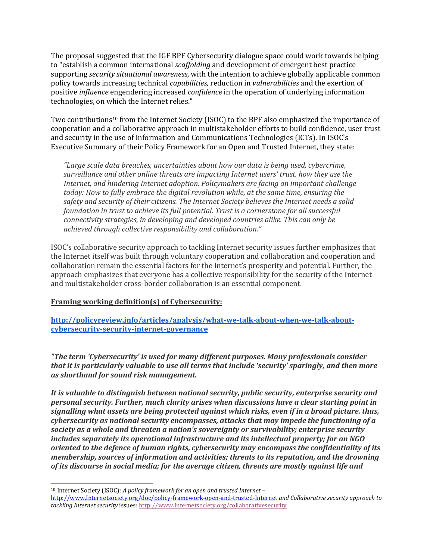The proposal suggested that the IGF BPF Cybersecurity dialogue space could work towards helping to "establish a common international *scaffolding* and development of emergent best practice supporting *security situational awareness*, with the intention to achieve globally applicable common policy towards increasing technical *capabilities,* reduction in *vulnerabilities* and the exertion of positive *influence* engendering increased *confidence* in the operation of underlying information technologies, on which the Internet relies."

Two contributions<sup>10</sup> from the Internet Society (ISOC) to the BPF also emphasized the importance of cooperation and a collaborative approach in multistakeholder efforts to build confidence, user trust and security in the use of Information and Communications Technologies (ICTs). In ISOC's Executive Summary of their Policy Framework for an Open and Trusted Internet, they state:

*"Large scale data breaches, uncertainties about how our data is being used, cybercrime, surveillance and other online threats are impacting Internet users' trust, how they use the Internet, and hindering Internet adoption. Policymakers are facing an important challenge today: How to fully embrace the digital revolution while, at the same time, ensuring the safety and security of their citizens. The Internet Society believes the Internet needs a solid foundation in trust to achieve its full potential. Trust is a cornerstone for all successful connectivity strategies, in developing and developed countries alike. This can only be achieved through collective responsibility and collaboration."*

ISOC's collaborative security approach to tackling Internet security issues further emphasizes that the Internet itself was built through voluntary cooperation and collaboration and cooperation and collaboration remain the essential factors for the Internet's prosperity and potential. Further, the approach emphasizes that everyone has a collective responsibility for the security of the Internet and multistakeholder cross-border collaboration is an essential component.

### **Framing working definition(s) of Cybersecurity:**

**[http://policyreview.info/articles/analysis/what-we-talk-about-when-we-talk-about](http://policyreview.info/articles/analysis/what-we-talk-about-when-we-talk-about-cybersecurity-security-internet-governance)[cybersecurity-security-internet-governance](http://policyreview.info/articles/analysis/what-we-talk-about-when-we-talk-about-cybersecurity-security-internet-governance)**

*"The term 'Cybersecurity' is used for many different purposes. Many professionals consider that it is particularly valuable to use all terms that include 'security' sparingly, and then more as shorthand for sound risk management.* 

*It is valuable to distinguish between national security, public security, enterprise security and personal security. Further, much clarity arises when discussions have a clear starting point in signalling what assets are being protected against which risks, even if in a broad picture. thus, cybersecurity as national security encompasses, attacks that may impede the functioning of a society as a whole and threaten a nation's sovereignty or survivability; enterprise security includes separately its operational infrastructure and its intellectual property; for an NGO oriented to the defence of human rights, cybersecurity may encompass the confidentiality of its membership, sources of information and activities; threats to its reputation, and the drowning of its discourse in social media; for the average citizen, threats are mostly against life and* 

<sup>10</sup> Internet Society (ISOC): *A policy framework for an open and trusted Internet* –

[http://www.Internetsociety.org/doc/policy-framework-open-and-trusted-Internet](http://www.internetsociety.org/doc/policy-framework-open-and-trusted-internet) *and Collaborative security approach to tackling Internet security* issues[: http://www.Internetsociety.org/collaborativesecurity](http://www.internetsociety.org/collaborativesecurity)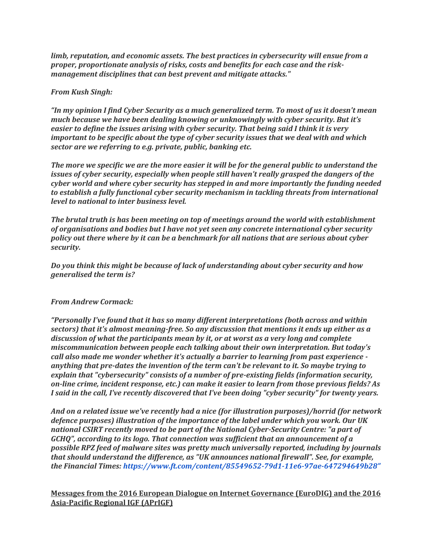*limb, reputation, and economic assets. The best practices in cybersecurity will ensue from a proper, proportionate analysis of risks, costs and benefits for each case and the riskmanagement disciplines that can best prevent and mitigate attacks."*

#### *From Kush Singh:*

*"In my opinion I find Cyber Security as a much generalized term. To most of us it doesn't mean much because we have been dealing knowing or unknowingly with cyber security. But it's easier to define the issues arising with cyber security. That being said I think it is very important to be specific about the type of cyber security issues that we deal with and which sector are we referring to e.g. private, public, banking etc.* 

*The more we specific we are the more easier it will be for the general public to understand the issues of cyber security, especially when people still haven't really grasped the dangers of the cyber world and where cyber security has stepped in and more importantly the funding needed to establish a fully functional cyber security mechanism in tackling threats from international level to national to inter business level.*

*The brutal truth is has been meeting on top of meetings around the world with establishment of organisations and bodies but I have not yet seen any concrete international cyber security policy out there where by it can be a benchmark for all nations that are serious about cyber security.*

*Do you think this might be because of lack of understanding about cyber security and how generalised the term is?* 

#### *From Andrew Cormack:*

*"Personally I've found that it has so many different interpretations (both across and within sectors) that it's almost meaning-free. So any discussion that mentions it ends up either as a discussion of what the participants mean by it, or at worst as a very long and complete miscommunication between people each talking about their own interpretation. But today's call also made me wonder whether it's actually a barrier to learning from past experience anything that pre-dates the invention of the term can't be relevant to it. So maybe trying to explain that "cybersecurity" consists of a number of pre-existing fields (information security, on-line crime, incident response, etc.) can make it easier to learn from those previous fields? As I said in the call, I've recently discovered that I've been doing "cyber security" for twenty years.*

*And on a related issue we've recently had a nice (for illustration purposes)/horrid (for network defence purposes) illustration of the importance of the label under which you work. Our UK national CSIRT recently moved to be part of the National Cyber-Security Centre: "a part of GCHQ", according to its logo. That connection was sufficient that an announcement of a possible RPZ feed of malware sites was pretty much universally reported, including by journals that should understand the difference, as "UK announces national firewall". See, for example, the Financial Times: [https://www.ft.com/content/85549652-79d1-11e6-97ae-](https://www.ft.com/content/85549652-79d1-11e6-97ae-647294649b28)647294649b28"*

### **Messages from the 2016 European Dialogue on Internet Governance (EuroDIG) and the 2016 Asia-Pacific Regional IGF (APrIGF)**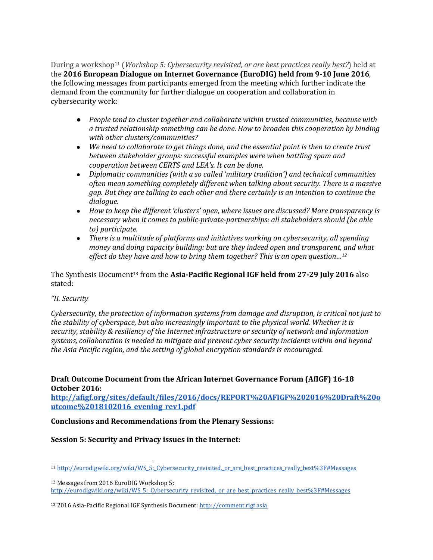During a workshop<sup>11</sup> (*Workshop 5: Cybersecurity revisited, or are best practices really best?*) held at the **2016 European Dialogue on Internet Governance (EuroDIG) held from 9-10 June 2016**, the following messages from participants emerged from the meeting which further indicate the demand from the community for further dialogue on cooperation and collaboration in cybersecurity work:

- *People tend to cluster together and collaborate within trusted communities, because with a trusted relationship something can be done. How to broaden this cooperation by binding with other clusters/communities?*
- *We need to collaborate to get things done, and the essential point is then to create trust between stakeholder groups: successful examples were when battling spam and cooperation between CERTS and LEA's. It can be done.*
- *Diplomatic communities (with a so called 'military tradition') and technical communities often mean something completely different when talking about security. There is a massive gap. But they are talking to each other and there certainly is an intention to continue the dialogue.*
- *How to keep the different 'clusters' open, where issues are discussed? More transparency is necessary when it comes to public-private-partnerships: all stakeholders should (be able to) participate.*
- *There is a multitude of platforms and initiatives working on cybersecurity, all spending money and doing capacity building: but are they indeed open and transparent, and what effect do they have and how to bring them together? This is an open question…<sup>12</sup>*

The Synthesis Document<sup>13</sup> from the **Asia-Pacific Regional IGF held from 27-29 July 2016** also stated:

### *"II. Security*

*Cybersecurity, the protection of information systems from damage and disruption, is critical not just to the stability of cyberspace, but also increasingly important to the physical world. Whether it is security, stability & resiliency of the Internet infrastructure or security of network and information systems, collaboration is needed to mitigate and prevent cyber security incidents within and beyond the Asia Pacific region, and the setting of global encryption standards is encouraged.*

# **Draft Outcome Document from the African Internet Governance Forum (AfIGF) 16-18 October 2016:**

**[http://afigf.org/sites/default/files/2016/docs/REPORT%20AFIGF%202016%20Draft%20o](http://afigf.org/sites/default/files/2016/docs/REPORT%20AFIGF%202016%20Draft%20outcome%2018102016_evening_rev1.pdf) [utcome%2018102016\\_evening\\_rev1.pdf](http://afigf.org/sites/default/files/2016/docs/REPORT%20AFIGF%202016%20Draft%20outcome%2018102016_evening_rev1.pdf)**

#### **Conclusions and Recommendations from the Plenary Sessions:**

### **Session 5: Security and Privacy issues in the Internet:**

 <sup>11</sup> [http://eurodigwiki.org/wiki/WS\\_5:\\_Cybersecurity\\_revisited,\\_or\\_are\\_best\\_practices\\_really\\_best%3F#Messages](http://eurodigwiki.org/wiki/WS_5:_Cybersecurity_revisited,_or_are_best_practices_really_best%3F#Messages)

<sup>12</sup> Messages from 2016 EuroDIG Workshop 5: [http://eurodigwiki.org/wiki/WS\\_5:\\_Cybersecurity\\_revisited,\\_or\\_are\\_best\\_practices\\_really\\_best%3F#Messages](http://eurodigwiki.org/wiki/WS_5:_Cybersecurity_revisited,_or_are_best_practices_really_best%3F#Messages)

<sup>13</sup> 2016 Asia-Pacific Regional IGF Synthesis Document[: http://comment.rigf.asia](http://comment.rigf.asia/)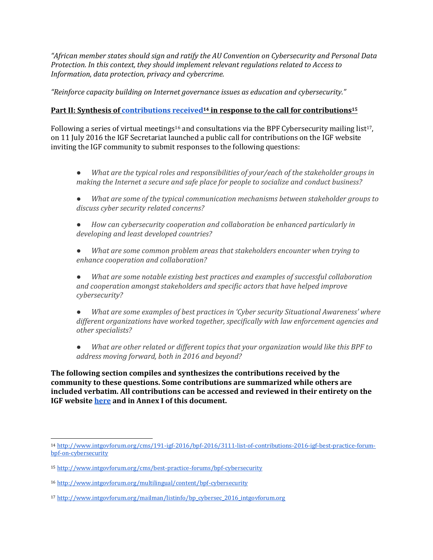*"African member states should sign and ratify the AU Convention on Cybersecurity and Personal Data Protection. In this context, they should implement relevant regulations related to Access to Information, data protection, privacy and cybercrime.*

*"Reinforce capacity building on Internet governance issues as education and cybersecurity."* 

## **Part II: Synthesis of [contributions received](http://www.intgovforum.org/cms/191-igf-2016/bpf-2016/3111-list-of-contributions-2016-igf-best-practice-forum-bpf-on-cybersecurity)<sup>14</sup> in response to the call for contributions<sup>15</sup>**

Following a series of virtual meetings<sup>16</sup> and consultations via the BPF Cybersecurity mailing list<sup>17</sup>, on 11 July 2016 the IGF Secretariat launched a public call for contributions on the IGF website inviting the IGF community to submit responses to the following questions:

- *● What are the typical roles and responsibilities of your/each of the stakeholder groups in making the Internet a secure and safe place for people to socialize and conduct business?*
- *● What are some of the typical communication mechanisms between stakeholder groups to discuss cyber security related concerns?*
- *● How can cybersecurity cooperation and collaboration be enhanced particularly in developing and least developed countries?*
- *● What are some common problem areas that stakeholders encounter when trying to enhance cooperation and collaboration?*

*● What are some notable existing best practices and examples of successful collaboration and cooperation amongst stakeholders and specific actors that have helped improve cybersecurity?*

*● What are some examples of best practices in 'Cyber security Situational Awareness' where different organizations have worked together, specifically with law enforcement agencies and other specialists?*

*● What are other related or different topics that your organization would like this BPF to address moving forward, both in 2016 and beyond?*

**The following section compiles and synthesizes the contributions received by the community to these questions. Some contributions are summarized while others are included verbatim. All contributions can be accessed and reviewed in their entirety on the IGF websit[e here](http://www.intgovforum.org/multilingual/content/list-of-contributions-2016-igf-bpf-cybersecurity) and in Annex I of this document.**

<sup>14</sup> [http://www.intgovforum.org/cms/191-igf-2016/bpf-2016/3111-list-of-contributions-2016-igf-best-practice-forum](http://www.intgovforum.org/cms/191-igf-2016/bpf-2016/3111-list-of-contributions-2016-igf-best-practice-forum-bpf-on-cybersecurity)[bpf-on-cybersecurity](http://www.intgovforum.org/cms/191-igf-2016/bpf-2016/3111-list-of-contributions-2016-igf-best-practice-forum-bpf-on-cybersecurity)

<sup>15</sup> <http://www.intgovforum.org/cms/best-practice-forums/bpf-cybersecurity>

<sup>16</sup> <http://www.intgovforum.org/multilingual/content/bpf-cybersecurity>

<sup>17</sup> [http://www.intgovforum.org/mailman/listinfo/bp\\_cybersec\\_2016\\_intgovforum.org](http://www.intgovforum.org/mailman/listinfo/bp_cybersec_2016_intgovforum.org)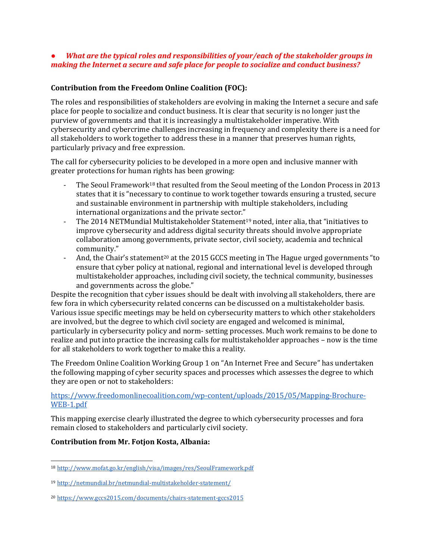### *● What are the typical roles and responsibilities of your/each of the stakeholder groups in making the Internet a secure and safe place for people to socialize and conduct business?*

### **Contribution from the Freedom Online Coalition (FOC):**

The roles and responsibilities of stakeholders are evolving in making the Internet a secure and safe place for people to socialize and conduct business. It is clear that security is no longer just the purview of governments and that it is increasingly a multistakeholder imperative. With cybersecurity and cybercrime challenges increasing in frequency and complexity there is a need for all stakeholders to work together to address these in a manner that preserves human rights, particularly privacy and free expression.

The call for cybersecurity policies to be developed in a more open and inclusive manner with greater protections for human rights has been growing:

- The Seoul Framework<sup>18</sup> that resulted from the Seoul meeting of the London Process in 2013 states that it is "necessary to continue to work together towards ensuring a trusted, secure and sustainable environment in partnership with multiple stakeholders, including international organizations and the private sector."
- The 2014 NETMundial Multistakeholder Statement<sup>19</sup> noted, inter alia, that "initiatives to improve cybersecurity and address digital security threats should involve appropriate collaboration among governments, private sector, civil society, academia and technical community."
- And, the Chair's statement<sup>20</sup> at the 2015 GCCS meeting in The Hague urged governments "to ensure that cyber policy at national, regional and international level is developed through multistakeholder approaches, including civil society, the technical community, businesses and governments across the globe."

Despite the recognition that cyber issues should be dealt with involving all stakeholders, there are few fora in which cybersecurity related concerns can be discussed on a multistakeholder basis. Various issue specific meetings may be held on cybersecurity matters to which other stakeholders are involved, but the degree to which civil society are engaged and welcomed is minimal, particularly in cybersecurity policy and norm- setting processes. Much work remains to be done to realize and put into practice the increasing calls for multistakeholder approaches – now is the time for all stakeholders to work together to make this a reality.

The Freedom Online Coalition Working Group 1 on "An Internet Free and Secure" has undertaken the following mapping of cyber security spaces and processes which assesses the degree to which they are open or not to stakeholders:

### [https://www.freedomonlinecoalition.com/wp-content/uploads/2015/05/Mapping-Brochure-](https://www.freedomonlinecoalition.com/wp-content/uploads/2015/05/Mapping-Brochure-WEB-1.pdf)[WEB-1.pdf](https://www.freedomonlinecoalition.com/wp-content/uploads/2015/05/Mapping-Brochure-WEB-1.pdf)

This mapping exercise clearly illustrated the degree to which cybersecurity processes and fora remain closed to stakeholders and particularly civil society.

### **Contribution from Mr. Fotjon Kosta, Albania:**

 <sup>18</sup> <http://www.mofat.go.kr/english/visa/images/res/SeoulFramework.pdf>

<sup>19</sup> <http://netmundial.br/netmundial-multistakeholder-statement/>

<sup>20</sup> <https://www.gccs2015.com/documents/chairs-statement-gccs2015>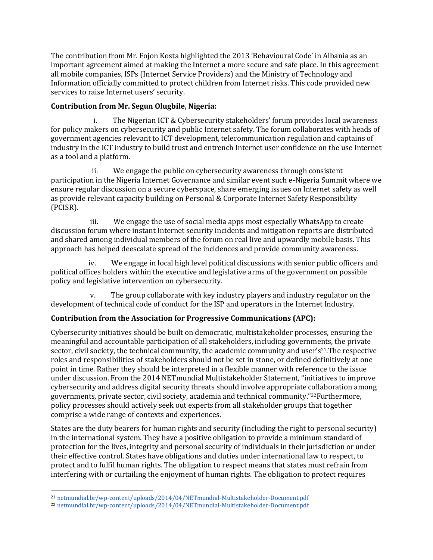The contribution from Mr. Fojon Kosta highlighted the 2013 'Behavioural Code' in Albania as an important agreement aimed at making the Internet a more secure and safe place. In this agreement all mobile companies, ISPs (Internet Service Providers) and the Ministry of Technology and Information officially committed to protect children from Internet risks. This code provided new services to raise Internet users' security.

## **Contribution from Mr. Segun Olugbile, Nigeria:**

i. The Nigerian ICT & Cybersecurity stakeholders' forum provides local awareness for policy makers on cybersecurity and public Internet safety. The forum collaborates with heads of government agencies relevant to ICT development, telecommunication regulation and captains of industry in the ICT industry to build trust and entrench Internet user confidence on the use Internet as a tool and a platform.

 ii. We engage the public on cybersecurity awareness through consistent participation in the Nigeria Internet Governance and similar event such e-Nigeria Summit where we ensure regular discussion on a secure cyberspace, share emerging issues on Internet safety as well as provide relevant capacity building on Personal & Corporate Internet Safety Responsibility (PCISR).

 iii. We engage the use of social media apps most especially WhatsApp to create discussion forum where instant Internet security incidents and mitigation reports are distributed and shared among individual members of the forum on real live and upwardly mobile basis. This approach has helped deescalate spread of the incidences and provide community awareness.

 iv. We engage in local high level political discussions with senior public officers and political offices holders within the executive and legislative arms of the government on possible policy and legislative intervention on cybersecurity.

 v. The group collaborate with key industry players and industry regulator on the development of technical code of conduct for the ISP and operators in the Internet Industry.

# **Contribution from the Association for Progressive Communications (APC):**

Cybersecurity initiatives should be built on democratic, multistakeholder processes, ensuring the meaningful and accountable participation of all stakeholders, including governments, the private sector, civil society, the technical community, the academic community and user's<sup>21</sup>. The respective roles and responsibilities of stakeholders should not be set in stone, or defined definitively at one point in time. Rather they should be interpreted in a flexible manner with reference to the issue under discussion. From the 2014 NETmundial Multistakeholder Statement, "initiatives to improve cybersecurity and address digital security threats should involve appropriate collaboration among governments, private sector, civil society, academia and technical community."22Furthermore, policy processes should actively seek out experts from all stakeholder groups that together comprise a wide range of contexts and experiences.

States are the duty bearers for human rights and security (including the right to personal security) in the international system. They have a positive obligation to provide a minimum standard of protection for the lives, integrity and personal security of individuals in their jurisdiction or under their effective control. States have obligations and duties under international law to respect, to protect and to fulfil human rights. The obligation to respect means that states must refrain from interfering with or curtailing the enjoyment of human rights. The obligation to protect requires

 $\overline{a}$ <sup>21</sup> [netmundial.br/wp-content/uploads/2014/04/NETmundial-Multistakeholder-Document.pdf](http://netmundial.br/wp-content/uploads/2014/04/NETmundial-Multistakeholder-Document.pdf) <sup>22</sup> [netmundial.br/wp-content/uploads/2014/04/NETmundial-Multistakeholder-Document.pdf](http://netmundial.br/wp-content/uploads/2014/04/NETmundial-Multistakeholder-Document.pdf)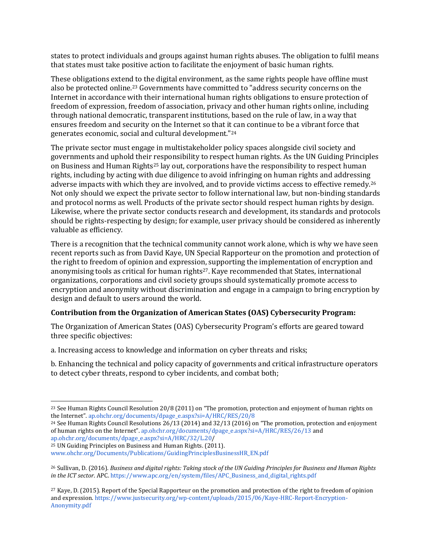states to protect individuals and groups against human rights abuses. The obligation to fulfil means that states must take positive action to facilitate the enjoyment of basic human rights.

These obligations extend to the digital environment, as the same rights people have offline must also be protected online.<sup>23</sup> Governments have committed to "address security concerns on the Internet in accordance with their international human rights obligations to ensure protection of freedom of expression, freedom of association, privacy and other human rights online, including through national democratic, transparent institutions, based on the rule of law, in a way that ensures freedom and security on the Internet so that it can continue to be a vibrant force that generates economic, social and cultural development."<sup>24</sup>

The private sector must engage in multistakeholder policy spaces alongside civil society and governments and uphold their responsibility to respect human rights. As the UN Guiding Principles on Business and Human Rights<sup>25</sup> lay out, corporations have the responsibility to respect human rights, including by acting with due diligence to avoid infringing on human rights and addressing adverse impacts with which they are involved, and to provide victims access to effective remedy.<sup>26</sup> Not only should we expect the private sector to follow international law, but non-binding standards and protocol norms as well. Products of the private sector should respect human rights by design. Likewise, where the private sector conducts research and development, its standards and protocols should be rights-respecting by design; for example, user privacy should be considered as inherently valuable as efficiency.

There is a recognition that the technical community cannot work alone, which is why we have seen recent reports such as from David Kaye, UN Special Rapporteur on the promotion and protection of the right to freedom of opinion and expression, supporting the implementation of encryption and anonymising tools as critical for human rights27. Kaye recommended that States, international organizations, corporations and civil society groups should systematically promote access to encryption and anonymity without discrimination and engage in a campaign to bring encryption by design and default to users around the world.

### **Contribution from the Organization of American States (OAS) Cybersecurity Program:**

The Organization of American States (OAS) Cybersecurity Program's efforts are geared toward three specific objectives:

a. Increasing access to knowledge and information on cyber threats and risks;

b. Enhancing the technical and policy capacity of governments and critical infrastructure operators to detect cyber threats, respond to cyber incidents, and combat both;

<sup>25</sup> UN Guiding Principles on Business and Human Rights. (2011[\).](http://www.ohchr.org/Documents/Publications/GuidingPrinciplesBusinessHR_EN.pdf)

 $\overline{a}$ <sup>23</sup> See Human Rights Council Resolution 20/8 (2011) on "The promotion, protection and enjoyment of human rights on the Internet[".](http://ap.ohchr.org/documents/dpage_e.aspx?si=A/HRC/RES/20/8) [ap.ohchr.org/documents/dpage\\_e.aspx?si=A/HRC/RES/20/8](http://ap.ohchr.org/documents/dpage_e.aspx?si=A/HRC/RES/20/8)

<sup>24</sup> See Human Rights Council Resolutions 26/13 (2014) and 32/13 (2016) on "The promotion, protection and enjoyment of human rights on the Internet". [ap.ohchr.org/documents/dpage\\_e.aspx?si=A/HRC/RES/26/13](http://ap.ohchr.org/documents/dpage_e.aspx?si=A/HRC/RES/26/13) an[d](http://ap.ohchr.org/documents/dpage_e.aspx?si=A/HRC/32/L.20) [ap.ohchr.org/documents/dpage\\_e.aspx?si=A/HRC/32/L.20/](http://ap.ohchr.org/documents/dpage_e.aspx?si=A/HRC/32/L.20)

[www.ohchr.org/Documents/Publications/GuidingPrinciplesBusinessHR\\_EN.pdf](http://www.ohchr.org/Documents/Publications/GuidingPrinciplesBusinessHR_EN.pdf)

<sup>26</sup> Sullivan, D. (2016). *Business and digital rights: Taking stock of the UN Guiding Principles for Business and Human Rights in the ICT sector*. APC. [https://www.apc.org/en/system/files/APC\\_Business\\_and\\_digital\\_rights.pdf](https://www.apc.org/en/system/files/APC_Business_and_digital_rights.pdf)

<sup>27</sup> Kaye, D. (2015). Report of the Special Rapporteur on the promotion and protection of the right to freedom of opinion and expressio[n.](https://www.justsecurity.org/wp-content/uploads/2015/06/Kaye-HRC-Report-Encryption-Anonymity.pdf) [https://www.justsecurity.org/wp-content/uploads/2015/06/Kaye-HRC-Report-Encryption-](https://www.justsecurity.org/wp-content/uploads/2015/06/Kaye-HRC-Report-Encryption-Anonymity.pdf)[Anonymity.pdf](https://www.justsecurity.org/wp-content/uploads/2015/06/Kaye-HRC-Report-Encryption-Anonymity.pdf)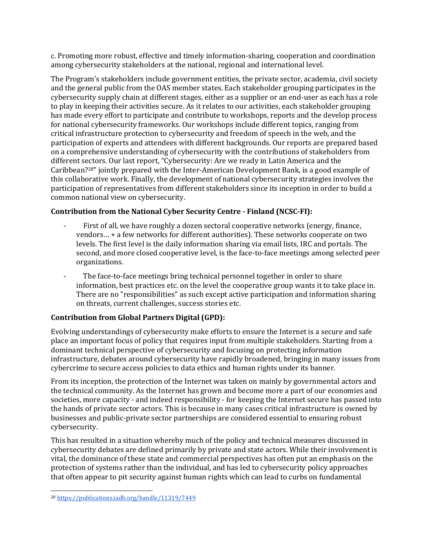c. Promoting more robust, effective and timely information-sharing, cooperation and coordination among cybersecurity stakeholders at the national, regional and international level.

The Program's stakeholders include government entities, the private sector, academia, civil society and the general public from the OAS member states. Each stakeholder grouping participates in the cybersecurity supply chain at different stages, either as a supplier or an end-user as each has a role to play in keeping their activities secure. As it relates to our activities, each stakeholder grouping has made every effort to participate and contribute to workshops, reports and the develop process for national cybersecurity frameworks. Our workshops include different topics, ranging from critical infrastructure protection to cybersecurity and freedom of speech in the web, and the participation of experts and attendees with different backgrounds. Our reports are prepared based on a comprehensive understanding of cybersecurity with the contributions of stakeholders from different sectors. Our last report, "Cybersecurity: Are we ready in Latin America and the Caribbean?28" jointly prepared with the Inter-American Development Bank, is a good example of this collaborative work. Finally, the development of national cybersecurity strategies involves the participation of representatives from different stakeholders since its inception in order to build a common national view on cybersecurity.

# **Contribution from the National Cyber Security Centre - Finland (NCSC-FI):**

- First of all, we have roughly a dozen sectoral cooperative networks (energy, finance, vendors… + a few networks for different authorities). These networks cooperate on two levels. The first level is the daily information sharing via email lists, IRC and portals. The second, and more closed cooperative level, is the face-to-face meetings among selected peer organizations.
- The face-to-face meetings bring technical personnel together in order to share information, best practices etc. on the level the cooperative group wants it to take place in. There are no "responsibilities" as such except active participation and information sharing on threats, current challenges, success stories etc.

# **Contribution from Global Partners Digital (GPD):**

Evolving understandings of cybersecurity make efforts to ensure the Internet is a secure and safe place an important focus of policy that requires input from multiple stakeholders. Starting from a dominant technical perspective of cybersecurity and focusing on protecting information infrastructure, debates around cybersecurity have rapidly broadened, bringing in many issues from cybercrime to secure access policies to data ethics and human rights under its banner.

From its inception, the protection of the Internet was taken on mainly by governmental actors and the technical community. As the Internet has grown and become more a part of our economies and societies, more capacity - and indeed responsibility - for keeping the Internet secure has passed into the hands of private sector actors. This is because in many cases critical infrastructure is owned by businesses and public-private sector partnerships are considered essential to ensuring robust cybersecurity.

This has resulted in a situation whereby much of the policy and technical measures discussed in cybersecurity debates are defined primarily by private and state actors. While their involvement is vital, the dominance of these state and commercial perspectives has often put an emphasis on the protection of systems rather than the individual, and has led to cybersecurity policy approaches that often appear to pit security against human rights which can lead to curbs on fundamental

 $\overline{a}$ <sup>28</sup> <https://publications.iadb.org/handle/11319/7449>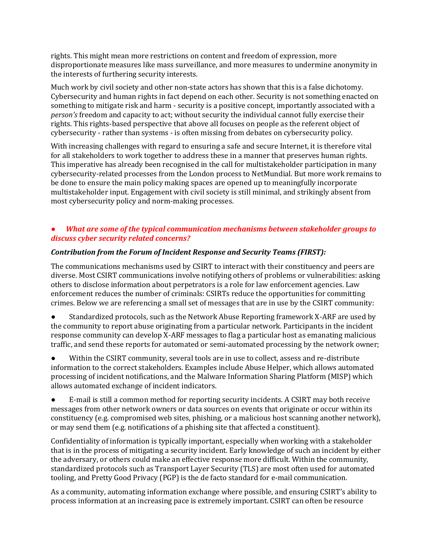rights. This might mean more restrictions on content and freedom of expression, more disproportionate measures like mass surveillance, and more measures to undermine anonymity in the interests of furthering security interests.

Much work by civil society and other non-state actors has shown that this is a false dichotomy. Cybersecurity and human rights in fact depend on each other. Security is not something enacted on something to mitigate risk and harm - security is a positive concept, importantly associated with a *person's* freedom and capacity to act; without security the individual cannot fully exercise their rights. This rights-based perspective that above all focuses on people as the referent object of cybersecurity - rather than systems - is often missing from debates on cybersecurity policy.

With increasing challenges with regard to ensuring a safe and secure Internet, it is therefore vital for all stakeholders to work together to address these in a manner that preserves human rights. This imperative has already been recognised in the call for multistakeholder participation in many cybersecurity-related processes from the London process to NetMundial. But more work remains to be done to ensure the main policy making spaces are opened up to meaningfully incorporate multistakeholder input. Engagement with civil society is still minimal, and strikingly absent from most cybersecurity policy and norm-making processes.

## What are some of the typical communication mechanisms between stakeholder groups to *discuss cyber security related concerns?*

### *Contribution from the Forum of Incident Response and Security Teams (FIRST):*

The communications mechanisms used by CSIRT to interact with their constituency and peers are diverse. Most CSIRT communications involve notifying others of problems or vulnerabilities: asking others to disclose information about perpetrators is a role for law enforcement agencies. Law enforcement reduces the number of criminals: CSIRTs reduce the opportunities for committing crimes. Below we are referencing a small set of messages that are in use by the CSIRT community:

Standardized protocols, such as the Network Abuse Reporting framework X-ARF are used by the community to report abuse originating from a particular network. Participants in the incident response community can develop X-ARF messages to flag a particular host as emanating malicious traffic, and send these reports for automated or semi-automated processing by the network owner;

● Within the CSIRT community, several tools are in use to collect, assess and re-distribute information to the correct stakeholders. Examples include Abuse Helper, which allows automated processing of incident notifications, and the Malware Information Sharing Platform (MISP) which allows automated exchange of incident indicators.

E-mail is still a common method for reporting security incidents. A CSIRT may both receive messages from other network owners or data sources on events that originate or occur within its constituency (e.g. compromised web sites, phishing, or a malicious host scanning another network), or may send them (e.g. notifications of a phishing site that affected a constituent).

Confidentiality of information is typically important, especially when working with a stakeholder that is in the process of mitigating a security incident. Early knowledge of such an incident by either the adversary, or others could make an effective response more difficult. Within the community, standardized protocols such as Transport Layer Security (TLS) are most often used for automated tooling, and Pretty Good Privacy (PGP) is the de facto standard for e-mail communication.

As a community, automating information exchange where possible, and ensuring CSIRT's ability to process information at an increasing pace is extremely important. CSIRT can often be resource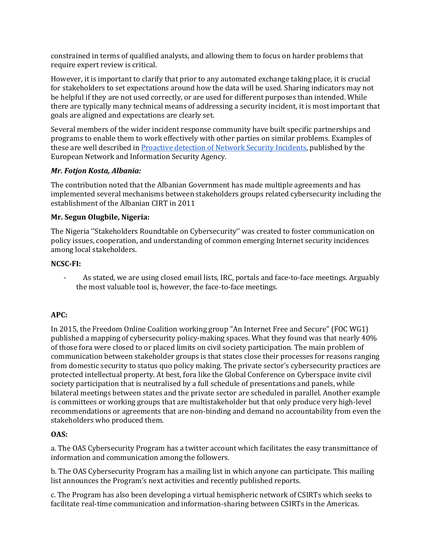constrained in terms of qualified analysts, and allowing them to focus on harder problems that require expert review is critical.

However, it is important to clarify that prior to any automated exchange taking place, it is crucial for stakeholders to set expectations around how the data will be used. Sharing indicators may not be helpful if they are not used correctly, or are used for different purposes than intended. While there are typically many technical means of addressing a security incident, it is most important that goals are aligned and expectations are clearly set.

Several members of the wider incident response community have built specific partnerships and programs to enable them to work effectively with other parties on similar problems. Examples of these are well described i[n](https://www.enisa.europa.eu/publications/proactive-detection-report) [Proactive detection of Network Security Incidents,](https://www.enisa.europa.eu/publications/proactive-detection-report) published by the European Network and Information Security Agency.

### *Mr. Fotjon Kosta, Albania:*

The contribution noted that the Albanian Government has made multiple agreements and has implemented several mechanisms between stakeholders groups related cybersecurity including the establishment of the Albanian CIRT in 2011

### **Mr. Segun Olugbile, Nigeria:**

The Nigeria ''Stakeholders Roundtable on Cybersecurity'' was created to foster communication on policy issues, cooperation, and understanding of common emerging Internet security incidences among local stakeholders.

#### **NCSC-FI:**

- As stated, we are using closed email lists, IRC, portals and face-to-face meetings. Arguably the most valuable tool is, however, the face-to-face meetings.

### **APC:**

In 2015, the Freedom Online Coalition working group "An Internet Free and Secure" (FOC WG1) published a mapping of cybersecurity policy-making spaces. What they found was that nearly 40% of those fora were closed to or placed limits on civil society participation. The main problem of communication between stakeholder groups is that states close their processes for reasons ranging from domestic security to status quo policy making. The private sector's cybersecurity practices are protected intellectual property. At best, fora like the Global Conference on Cyberspace invite civil society participation that is neutralised by a full schedule of presentations and panels, while bilateral meetings between states and the private sector are scheduled in parallel. Another example is committees or working groups that are multistakeholder but that only produce very high-level recommendations or agreements that are non-binding and demand no accountability from even the stakeholders who produced them.

#### **OAS:**

a. The OAS Cybersecurity Program has a twitter account which facilitates the easy transmittance of information and communication among the followers.

b. The OAS Cybersecurity Program has a mailing list in which anyone can participate. This mailing list announces the Program's next activities and recently published reports.

c. The Program has also been developing a virtual hemispheric network of CSIRTs which seeks to facilitate real-time communication and information-sharing between CSIRTs in the Americas.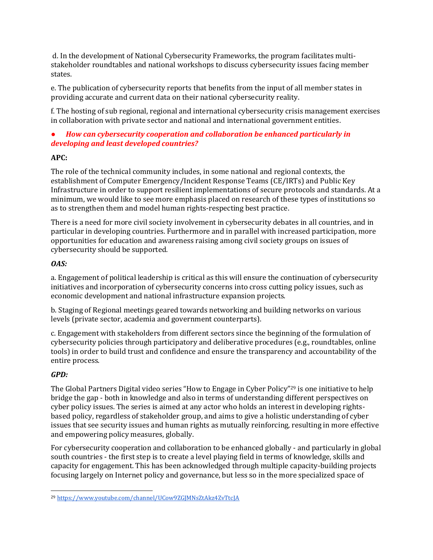d. In the development of National Cybersecurity Frameworks, the program facilitates multistakeholder roundtables and national workshops to discuss cybersecurity issues facing member states.

e. The publication of cybersecurity reports that benefits from the input of all member states in providing accurate and current data on their national cybersecurity reality.

f. The hosting of sub regional, regional and international cybersecurity crisis management exercises in collaboration with private sector and national and international government entities.

# *● How can cybersecurity cooperation and collaboration be enhanced particularly in developing and least developed countries?*

## **APC:**

The role of the technical community includes, in some national and regional contexts, the establishment of Computer Emergency/Incident Response Teams (CE/IRTs) and Public Key Infrastructure in order to support resilient implementations of secure protocols and standards. At a minimum, we would like to see more emphasis placed on research of these types of institutions so as to strengthen them and model human rights-respecting best practice.

There is a need for more civil society involvement in cybersecurity debates in all countries, and in particular in developing countries. Furthermore and in parallel with increased participation, more opportunities for education and awareness raising among civil society groups on issues of cybersecurity should be supported.

## *OAS:*

a. Engagement of political leadership is critical as this will ensure the continuation of cybersecurity initiatives and incorporation of cybersecurity concerns into cross cutting policy issues, such as economic development and national infrastructure expansion projects.

b. Staging of Regional meetings geared towards networking and building networks on various levels (private sector, academia and government counterparts).

c. Engagement with stakeholders from different sectors since the beginning of the formulation of cybersecurity policies through participatory and deliberative procedures (e.g., roundtables, online tools) in order to build trust and confidence and ensure the transparency and accountability of the entire process.

# *GPD:*

The Global Partners Digital video series "How to Engage in Cyber Policy"<sup>29</sup> is one initiative to help bridge the gap - both in knowledge and also in terms of understanding different perspectives on cyber policy issues. The series is aimed at any actor who holds an interest in developing rightsbased policy, regardless of stakeholder group, and aims to give a holistic understanding of cyber issues that see security issues and human rights as mutually reinforcing, resulting in more effective and empowering policy measures, globally.

For cybersecurity cooperation and collaboration to be enhanced globally - and particularly in global south countries - the first step is to create a level playing field in terms of knowledge, skills and capacity for engagement. This has been acknowledged through multiple capacity-building projects focusing largely on Internet policy and governance, but less so in the more specialized space of

 $\overline{a}$ <sup>29</sup> <https://www.youtube.com/channel/UCow9ZGJMNsZtAkz4ZvTtcJA>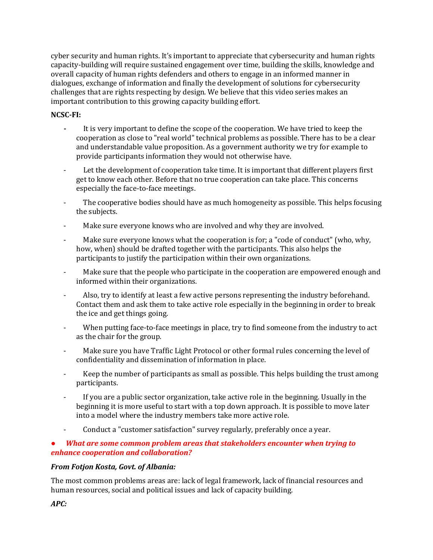cyber security and human rights. It's important to appreciate that cybersecurity and human rights capacity-building will require sustained engagement over time, building the skills, knowledge and overall capacity of human rights defenders and others to engage in an informed manner in dialogues, exchange of information and finally the development of solutions for cybersecurity challenges that are rights respecting by design. We believe that this video series makes an important contribution to this growing capacity building effort.

### **NCSC-FI:**

- **-** It is very important to define the scope of the cooperation. We have tried to keep the cooperation as close to "real world" technical problems as possible. There has to be a clear and understandable value proposition. As a government authority we try for example to provide participants information they would not otherwise have.
- Let the development of cooperation take time. It is important that different players first get to know each other. Before that no true cooperation can take place. This concerns especially the face-to-face meetings.
- The cooperative bodies should have as much homogeneity as possible. This helps focusing the subjects.
- Make sure everyone knows who are involved and why they are involved.
- Make sure everyone knows what the cooperation is for; a "code of conduct" (who, why, how, when) should be drafted together with the participants. This also helps the participants to justify the participation within their own organizations.
- Make sure that the people who participate in the cooperation are empowered enough and informed within their organizations.
- Also, try to identify at least a few active persons representing the industry beforehand. Contact them and ask them to take active role especially in the beginning in order to break the ice and get things going.
- When putting face-to-face meetings in place, try to find someone from the industry to act as the chair for the group.
- Make sure you have Traffic Light Protocol or other formal rules concerning the level of confidentiality and dissemination of information in place.
- Keep the number of participants as small as possible. This helps building the trust among participants.
- If you are a public sector organization, take active role in the beginning. Usually in the beginning it is more useful to start with a top down approach. It is possible to move later into a model where the industry members take more active role.
- Conduct a "customer satisfaction" survey regularly, preferably once a year.

### *● What are some common problem areas that stakeholders encounter when trying to enhance cooperation and collaboration?*

### *From Fotjon Kosta, Govt. of Albania:*

The most common problems areas are: lack of legal framework, lack of financial resources and human resources, social and political issues and lack of capacity building.

# *APC:*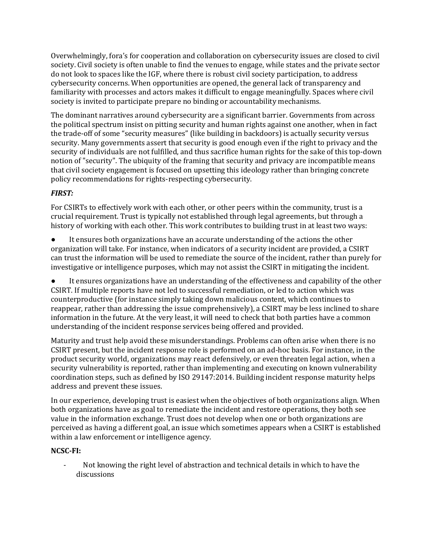Overwhelmingly, fora's for cooperation and collaboration on cybersecurity issues are closed to civil society. Civil society is often unable to find the venues to engage, while states and the private sector do not look to spaces like the IGF, where there is robust civil society participation, to address cybersecurity concerns. When opportunities are opened, the general lack of transparency and familiarity with processes and actors makes it difficult to engage meaningfully. Spaces where civil society is invited to participate prepare no binding or accountability mechanisms.

The dominant narratives around cybersecurity are a significant barrier. Governments from across the political spectrum insist on pitting security and human rights against one another, when in fact the trade-off of some "security measures" (like building in backdoors) is actually security versus security. Many governments assert that security is good enough even if the right to privacy and the security of individuals are not fulfilled, and thus sacrifice human rights for the sake of this top-down notion of "security". The ubiquity of the framing that security and privacy are incompatible means that civil society engagement is focused on upsetting this ideology rather than bringing concrete policy recommendations for rights-respecting cybersecurity.

# *FIRST:*

For CSIRTs to effectively work with each other, or other peers within the community, trust is a crucial requirement. Trust is typically not established through legal agreements, but through a history of working with each other. This work contributes to building trust in at least two ways:

It ensures both organizations have an accurate understanding of the actions the other organization will take. For instance, when indicators of a security incident are provided, a CSIRT can trust the information will be used to remediate the source of the incident, rather than purely for investigative or intelligence purposes, which may not assist the CSIRT in mitigating the incident.

It ensures organizations have an understanding of the effectiveness and capability of the other CSIRT. If multiple reports have not led to successful remediation, or led to action which was counterproductive (for instance simply taking down malicious content, which continues to reappear, rather than addressing the issue comprehensively), a CSIRT may be less inclined to share information in the future. At the very least, it will need to check that both parties have a common understanding of the incident response services being offered and provided.

Maturity and trust help avoid these misunderstandings. Problems can often arise when there is no CSIRT present, but the incident response role is performed on an ad-hoc basis. For instance, in the product security world, organizations may react defensively, or even threaten legal action, when a security vulnerability is reported, rather than implementing and executing on known vulnerability coordination steps, such as defined by ISO 29147:2014. Building incident response maturity helps address and prevent these issues.

In our experience, developing trust is easiest when the objectives of both organizations align. When both organizations have as goal to remediate the incident and restore operations, they both see value in the information exchange. Trust does not develop when one or both organizations are perceived as having a different goal, an issue which sometimes appears when a CSIRT is established within a law enforcement or intelligence agency.

# **NCSC-FI:**

- Not knowing the right level of abstraction and technical details in which to have the discussions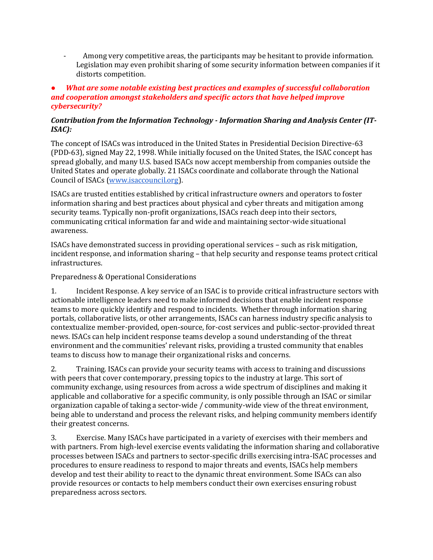Among very competitive areas, the participants may be hesitant to provide information. Legislation may even prohibit sharing of some security information between companies if it distorts competition.

### *● What are some notable existing best practices and examples of successful collaboration and cooperation amongst stakeholders and specific actors that have helped improve cybersecurity?*

### *Contribution from the Information Technology - Information Sharing and Analysis Center (IT-ISAC):*

The concept of ISACs was introduced in the United States in Presidential Decision Directive-63 (PDD-63), signed May 22, 1998. While initially focused on the United States, the ISAC concept has spread globally, and many U.S. based ISACs now accept membership from companies outside the United States and operate globally. 21 ISACs coordinate and collaborate through the National Council of ISACs [\(www.isaccouncil.org\)](http://www.isaccouncil.org/).

ISACs are trusted entities established by critical infrastructure owners and operators to foster information sharing and best practices about physical and cyber threats and mitigation among security teams. Typically non-profit organizations, ISACs reach deep into their sectors, communicating critical information far and wide and maintaining sector-wide situational awareness.

ISACs have demonstrated success in providing operational services – such as risk mitigation, incident response, and information sharing – that help security and response teams protect critical infrastructures.

### Preparedness & Operational Considerations

1. Incident Response. A key service of an ISAC is to provide critical infrastructure sectors with actionable intelligence leaders need to make informed decisions that enable incident response teams to more quickly identify and respond to incidents. Whether through information sharing portals, collaborative lists, or other arrangements, ISACs can harness industry specific analysis to contextualize member-provided, open-source, for-cost services and public-sector-provided threat news. ISACs can help incident response teams develop a sound understanding of the threat environment and the communities' relevant risks, providing a trusted community that enables teams to discuss how to manage their organizational risks and concerns.

2. Training. ISACs can provide your security teams with access to training and discussions with peers that cover contemporary, pressing topics to the industry at large. This sort of community exchange, using resources from across a wide spectrum of disciplines and making it applicable and collaborative for a specific community, is only possible through an ISAC or similar organization capable of taking a sector-wide / community-wide view of the threat environment, being able to understand and process the relevant risks, and helping community members identify their greatest concerns.

3. Exercise. Many ISACs have participated in a variety of exercises with their members and with partners. From high-level exercise events validating the information sharing and collaborative processes between ISACs and partners to sector-specific drills exercising intra-ISAC processes and procedures to ensure readiness to respond to major threats and events, ISACs help members develop and test their ability to react to the dynamic threat environment. Some ISACs can also provide resources or contacts to help members conduct their own exercises ensuring robust preparedness across sectors.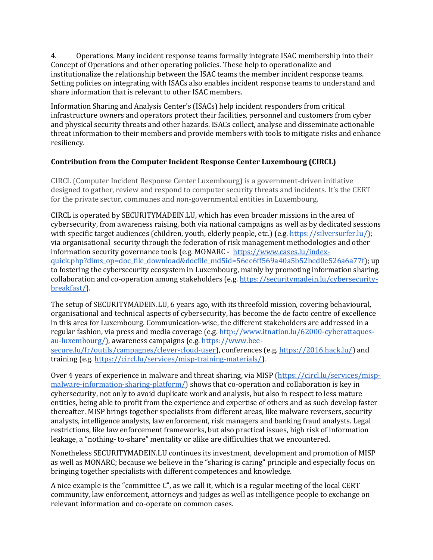4. Operations. Many incident response teams formally integrate ISAC membership into their Concept of Operations and other operating policies. These help to operationalize and institutionalize the relationship between the ISAC teams the member incident response teams. Setting policies on integrating with ISACs also enables incident response teams to understand and share information that is relevant to other ISAC members.

Information Sharing and Analysis Center's (ISACs) help incident responders from critical infrastructure owners and operators protect their facilities, personnel and customers from cyber and physical security threats and other hazards. ISACs collect, analyse and disseminate actionable threat information to their members and provide members with tools to mitigate risks and enhance resiliency.

# **Contribution from the Computer Incident Response Center Luxembourg (CIRCL)**

CIRCL (Computer Incident Response Center Luxembourg) is a government-driven initiative designed to gather, review and respond to computer security threats and incidents. It's the CERT for the private sector, communes and non-governmental entities in Luxembourg.

CIRCL is operated by SECURITYMADEIN.LU, which has even broader missions in the area of cybersecurity, from awareness raising, both via national campaigns as well as by dedicated sessions with specific target audiences (children, youth, elderly people, etc.) (e.[g.](https://silversurfer.lu/) [https://silversurfer.lu/\)](https://silversurfer.lu/); via organisational security through the federation of risk management methodologies and other information security governance tools (e.g. MONARC - [https://www.cases.lu/index](https://www.cases.lu/index-quick.php?dims_op=doc_file_download&docfile_md5id=56ee6ff569a40a5b52bed0e526a6a77f)[quick.php?dims\\_op=doc\\_file\\_download&docfile\\_md5id=56ee6ff569a40a5b52bed0e526a6a77f\)](https://www.cases.lu/index-quick.php?dims_op=doc_file_download&docfile_md5id=56ee6ff569a40a5b52bed0e526a6a77f); up to fostering the cybersecurity ecosystem in Luxembourg, mainly by promoting information sharing, collaboration and co-operation among stakeholders (e.[g.](https://securitymadein.lu/cybersecurity-breakfast/) [https://securitymadein.lu/cybersecurity](https://securitymadein.lu/cybersecurity-breakfast/)[breakfast/\)](https://securitymadein.lu/cybersecurity-breakfast/).

The setup of SECURITYMADEIN.LU, 6 years ago, with its threefold mission, covering behavioural, organisational and technical aspects of cybersecurity, has become the de facto centre of excellence in this area for Luxembourg. Communication-wise, the different stakeholders are addressed in a regular fashion, via press and media coverage (e.g. [http://www.itnation.lu/62000-cyberattaques](http://www.itnation.lu/62000-cyberattaques-au-luxembourg/)[au-luxembourg/\)](http://www.itnation.lu/62000-cyberattaques-au-luxembourg/), awareness campaigns (e.g. [https://www.bee](https://www.bee-secure.lu/fr/outils/campagnes/clever-cloud-user)[secure.lu/fr/outils/campagnes/clever-cloud-user\)](https://www.bee-secure.lu/fr/outils/campagnes/clever-cloud-user), conferences (e.[g.](https://2016.hack.lu/) [https://2016.hack.lu/\)](https://2016.hack.lu/) and training (e.[g.](https://circl.lu/services/misp-training-materials/) [https://circl.lu/services/misp-training-materials/\)](https://circl.lu/services/misp-training-materials/).

Over 4 years of experience in malware and threat sharing, via MISP [\(https://circl.lu/services/misp](https://circl.lu/services/misp-malware-information-sharing-platform/)[malware-information-sharing-platform/\)](https://circl.lu/services/misp-malware-information-sharing-platform/) shows that co-operation and collaboration is key in cybersecurity, not only to avoid duplicate work and analysis, but also in respect to less mature entities, being able to profit from the experience and expertise of others and as such develop faster thereafter. MISP brings together specialists from different areas, like malware reversers, security analysts, intelligence analysts, law enforcement, risk managers and banking fraud analysts. Legal restrictions, like law enforcement frameworks, but also practical issues, high risk of information leakage, a "nothing- to-share" mentality or alike are difficulties that we encountered.

Nonetheless SECURITYMADEIN.LU continues its investment, development and promotion of MISP as well as MONARC; because we believe in the "sharing is caring" principle and especially focus on bringing together specialists with different competences and knowledge.

A nice example is the "committee C", as we call it, which is a regular meeting of the local CERT community, law enforcement, attorneys and judges as well as intelligence people to exchange on relevant information and co-operate on common cases.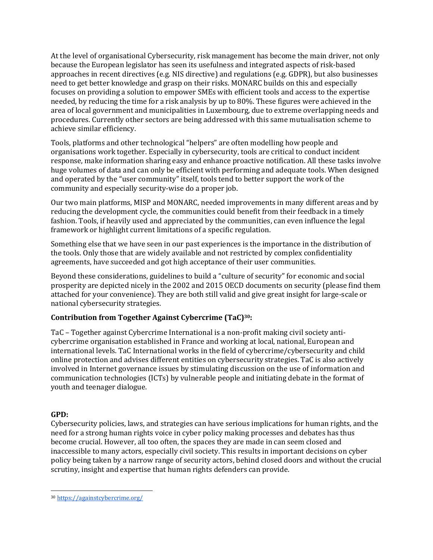At the level of organisational Cybersecurity, risk management has become the main driver, not only because the European legislator has seen its usefulness and integrated aspects of risk-based approaches in recent directives (e.g. NIS directive) and regulations (e.g. GDPR), but also businesses need to get better knowledge and grasp on their risks. MONARC builds on this and especially focuses on providing a solution to empower SMEs with efficient tools and access to the expertise needed, by reducing the time for a risk analysis by up to 80%. These figures were achieved in the area of local government and municipalities in Luxembourg, due to extreme overlapping needs and procedures. Currently other sectors are being addressed with this same mutualisation scheme to achieve similar efficiency.

Tools, platforms and other technological "helpers" are often modelling how people and organisations work together. Especially in cybersecurity, tools are critical to conduct incident response, make information sharing easy and enhance proactive notification. All these tasks involve huge volumes of data and can only be efficient with performing and adequate tools. When designed and operated by the "user community" itself, tools tend to better support the work of the community and especially security-wise do a proper job.

Our two main platforms, MISP and MONARC, needed improvements in many different areas and by reducing the development cycle, the communities could benefit from their feedback in a timely fashion. Tools, if heavily used and appreciated by the communities, can even influence the legal framework or highlight current limitations of a specific regulation.

Something else that we have seen in our past experiences is the importance in the distribution of the tools. Only those that are widely available and not restricted by complex confidentiality agreements, have succeeded and got high acceptance of their user communities.

Beyond these considerations, guidelines to build a "culture of security" for economic and social prosperity are depicted nicely in the 2002 and 2015 OECD documents on security (please find them attached for your convenience). They are both still valid and give great insight for large-scale or national cybersecurity strategies.

# **Contribution from Together Against Cybercrime (TaC)30:**

TaC – Together against Cybercrime International is a non-profit making civil society anticybercrime organisation established in France and working at local, national, European and international levels. TaC International works in the field of cybercrime/cybersecurity and child online protection and advises different entities on cybersecurity strategies. TaC is also actively involved in Internet governance issues by stimulating discussion on the use of information and communication technologies (ICTs) by vulnerable people and initiating debate in the format of youth and teenager dialogue.

### **GPD:**

Cybersecurity policies, laws, and strategies can have serious implications for human rights, and the need for a strong human rights voice in cyber policy making processes and debates has thus become crucial. However, all too often, the spaces they are made in can seem closed and inaccessible to many actors, especially civil society. This results in important decisions on cyber policy being taken by a narrow range of security actors, behind closed doors and without the crucial scrutiny, insight and expertise that human rights defenders can provide.

 $\overline{a}$ <sup>30</sup> <https://againstcybercrime.org/>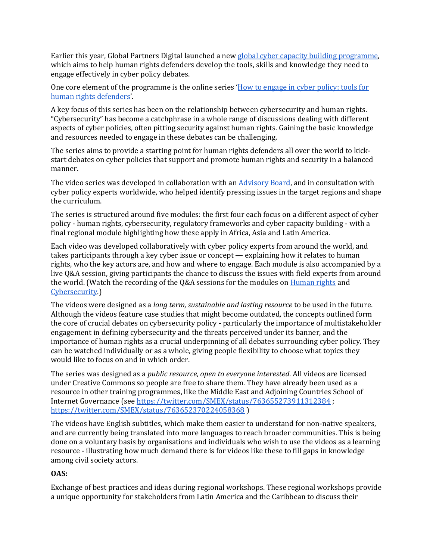Earlier this year, Global Partners Digital launched a new [global cyber capacity building programme,](http://www.gp-digital.org/gpd-launches-new-global-programme-to-foster-more-inclusive-cyber-policies/)  which aims to help human rights defenders develop the tools, skills and knowledge they need to engage effectively in cyber policy debates.

One core element of the programme is the online series '[How to engage in cyber policy: tools for](https://www.youtube.com/channel/UCow9ZGJMNsZtAkz4ZvTtcJA)  [human rights defenders](https://www.youtube.com/channel/UCow9ZGJMNsZtAkz4ZvTtcJA)'.

A key focus of this series has been on the relationship between cybersecurity and human rights. "Cybersecurity" has become a catchphrase in a whole range of discussions dealing with different aspects of cyber policies, often pitting security against human rights. Gaining the basic knowledge and resources needed to engage in these debates can be challenging.

The series aims to provide a starting point for human rights defenders all over the world to kickstart debates on cyber policies that support and promote human rights and security in a balanced manner.

The video series was developed in collaboration with an **Advisory Board**, and in consultation with cyber policy experts worldwide, who helped identify pressing issues in the target regions and shape the curriculum.

The series is structured around five modules: the first four each focus on a different aspect of cyber policy - human rights, cybersecurity, regulatory frameworks and cyber capacity building - with a final regional module highlighting how these apply in Africa, Asia and Latin America.

Each video was developed collaboratively with cyber policy experts from around the world, and takes participants through a key cyber issue or concept — explaining how it relates to human rights, who the key actors are, and how and where to engage. Each module is also accompanied by a live Q&A session, giving participants the chance to discuss the issues with field experts from around the world. (Watch the recordi[n](https://www.youtube.com/watch?v=_uTIoHbXkAg)g of the Q&A sessions for the modules on [Human rights](https://www.youtube.com/watch?v=_uTIoHbXkAg) an[d](https://www.youtube.com/watch?v=Q1VnUDSYbFw) [Cybersecurity.\)](https://www.youtube.com/watch?v=Q1VnUDSYbFw)

The videos were designed as a *long term, sustainable and lasting resource* to be used in the future. Although the videos feature case studies that might become outdated, the concepts outlined form the core of crucial debates on cybersecurity policy - particularly the importance of multistakeholder engagement in defining cybersecurity and the threats perceived under its banner, and the importance of human rights as a crucial underpinning of all debates surrounding cyber policy. They can be watched individually or as a whole, giving people flexibility to choose what topics they would like to focus on and in which order.

The series was designed as a *public resource, open to everyone interested*. All videos are licensed under Creative Commons so people are free to share them. They have already been used as a resource in other training programmes, like the Middle East and Adjoining Countries School of Internet Governance (see <https://twitter.com/SMEX/status/763655273911312384> [;](https://twitter.com/SMEX/status/763652370224058368) <https://twitter.com/SMEX/status/763652370224058368> )

The videos have English subtitles, which make them easier to understand for non-native speakers, and are currently being translated into more languages to reach broader communities. This is being done on a voluntary basis by organisations and individuals who wish to use the videos as a learning resource - illustrating how much demand there is for videos like these to fill gaps in knowledge among civil society actors.

#### **OAS:**

Exchange of best practices and ideas during regional workshops. These regional workshops provide a unique opportunity for stakeholders from Latin America and the Caribbean to discuss their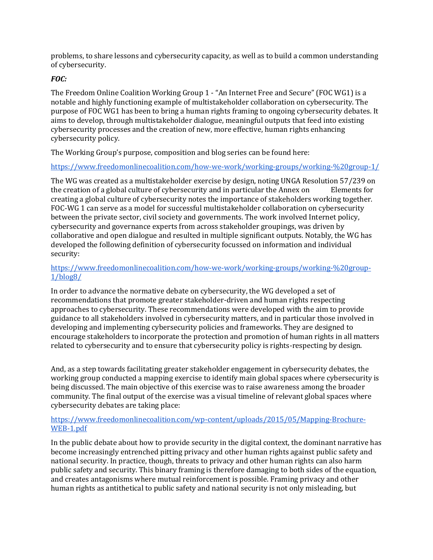problems, to share lessons and cybersecurity capacity, as well as to build a common understanding of cybersecurity.

### *FOC:*

The Freedom Online Coalition Working Group 1 - "An Internet Free and Secure" (FOC WG1) is a notable and highly functioning example of multistakeholder collaboration on cybersecurity. The purpose of FOC WG1 has been to bring a human rights framing to ongoing cybersecurity debates. It aims to develop, through multistakeholder dialogue, meaningful outputs that feed into existing cybersecurity processes and the creation of new, more effective, human rights enhancing cybersecurity policy.

The Working Group's purpose, composition and blog series can be found here:

<https://www.freedomonlinecoalition.com/how-we-work/working-groups/working-%20group-1/>

The WG was created as a multistakeholder exercise by design, noting UNGA Resolution 57/239 on the creation of a global culture of cybersecurity and in particular the Annex on Elements for creating a global culture of cybersecurity notes the importance of stakeholders working together. FOC-WG 1 can serve as a model for successful multistakeholder collaboration on cybersecurity between the private sector, civil society and governments. The work involved Internet policy, cybersecurity and governance experts from across stakeholder groupings, was driven by collaborative and open dialogue and resulted in multiple significant outputs. Notably, the WG has developed the following definition of cybersecurity focussed on information and individual security:

### [https://www.freedomonlinecoalition.com/how-we-work/working-groups/working-%20group-](https://www.freedomonlinecoalition.com/how-we-work/working-groups/working-%20group-1/blog8/)[1/blog8/](https://www.freedomonlinecoalition.com/how-we-work/working-groups/working-%20group-1/blog8/)

In order to advance the normative debate on cybersecurity, the WG developed a set of recommendations that promote greater stakeholder-driven and human rights respecting approaches to cybersecurity. These recommendations were developed with the aim to provide guidance to all stakeholders involved in cybersecurity matters, and in particular those involved in developing and implementing cybersecurity policies and frameworks. They are designed to encourage stakeholders to incorporate the protection and promotion of human rights in all matters related to cybersecurity and to ensure that cybersecurity policy is rights-respecting by design.

And, as a step towards facilitating greater stakeholder engagement in cybersecurity debates, the working group conducted a mapping exercise to identify main global spaces where cybersecurity is being discussed. The main objective of this exercise was to raise awareness among the broader community. The final output of the exercise was a visual timeline of relevant global spaces where cybersecurity debates are taking place:

### [https://www.freedomonlinecoalition.com/wp-content/uploads/2015/05/Mapping-Brochure-](https://www.freedomonlinecoalition.com/wp-content/uploads/2015/05/Mapping-Brochure-WEB-1.pdf)[WEB-1.pdf](https://www.freedomonlinecoalition.com/wp-content/uploads/2015/05/Mapping-Brochure-WEB-1.pdf)

In the public debate about how to provide security in the digital context, the dominant narrative has become increasingly entrenched pitting privacy and other human rights against public safety and national security. In practice, though, threats to privacy and other human rights can also harm public safety and security. This binary framing is therefore damaging to both sides of the equation, and creates antagonisms where mutual reinforcement is possible. Framing privacy and other human rights as antithetical to public safety and national security is not only misleading, but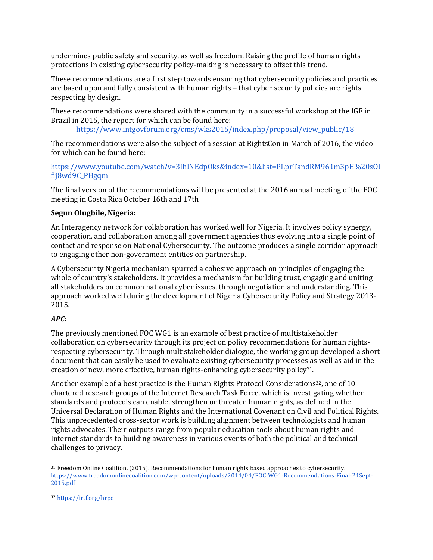undermines public safety and security, as well as freedom. Raising the profile of human rights protections in existing cybersecurity policy-making is necessary to offset this trend.

These recommendations are a first step towards ensuring that cybersecurity policies and practices are based upon and fully consistent with human rights – that cyber security policies are rights respecting by design.

These recommendations were shared with the community in a successful workshop at the IGF in Brazil in 2015, the report for which can be found here:

[https://www.intgovforum.org/cms/wks2015/index.php/proposal/view\\_public/18](https://www.intgovforum.org/cms/wks2015/index.php/proposal/view_public/18)

The recommendations were also the subject of a session at RightsCon in March of 2016, the video for which can be found here:

[https://www.youtube.com/watch?v=3IhlNEdpOks&index=10&list=PLprTandRM961m3pH%20sOl](https://www.youtube.com/watch?v=3IhlNEdpOks&index=10&list=PLprTandRM961m3pH%20sOlfij8wd9C_PHgqm) [fij8wd9C\\_PHgqm](https://www.youtube.com/watch?v=3IhlNEdpOks&index=10&list=PLprTandRM961m3pH%20sOlfij8wd9C_PHgqm)

The final version of the recommendations will be presented at the 2016 annual meeting of the FOC meeting in Costa Rica October 16th and 17th

### **Segun Olugbile, Nigeria:**

An Interagency network for collaboration has worked well for Nigeria. It involves policy synergy, cooperation, and collaboration among all government agencies thus evolving into a single point of contact and response on National Cybersecurity. The outcome produces a single corridor approach to engaging other non-government entities on partnership.

A Cybersecurity Nigeria mechanism spurred a cohesive approach on principles of engaging the whole of country's stakeholders. It provides a mechanism for building trust, engaging and uniting all stakeholders on common national cyber issues, through negotiation and understanding. This approach worked well during the development of Nigeria Cybersecurity Policy and Strategy 2013- 2015.

### *APC:*

The previously mentioned FOC WG1 is an example of best practice of multistakeholder collaboration on cybersecurity through its project on policy recommendations for human rightsrespecting cybersecurity. Through multistakeholder dialogue, the working group developed a short document that can easily be used to evaluate existing cybersecurity processes as well as aid in the creation of new, more effective, human rights-enhancing cybersecurity policy<sup>31</sup>.

Another example of a best practice is the Human Rights Protocol Considerations<sup>32</sup>, one of 10 chartered research groups of the Internet Research Task Force, which is investigating whether standards and protocols can enable, strengthen or threaten human rights, as defined in the Universal Declaration of Human Rights and the International Covenant on Civil and Political Rights. This unprecedented cross-sector work is building alignment between technologists and human rights advocates. Their outputs range from popular education tools about human rights and Internet standards to building awareness in various events of both the political and technical challenges to privacy.

<sup>31</sup> Freedom Online Coalition. (2015). Recommendations for human rights based approaches to cybersecurity[.](https://www.freedomonlinecoalition.com/wp-content/uploads/2014/04/FOC-WG1-Recommendations-Final-21Sept-2015.pdf) [https://www.freedomonlinecoalition.com/wp-content/uploads/2014/04/FOC-WG1-Recommendations-Final-21Sept-](https://www.freedomonlinecoalition.com/wp-content/uploads/2014/04/FOC-WG1-Recommendations-Final-21Sept-2015.pdf)[2015.pdf](https://www.freedomonlinecoalition.com/wp-content/uploads/2014/04/FOC-WG1-Recommendations-Final-21Sept-2015.pdf)

<sup>32</sup> <https://irtf.org/hrpc>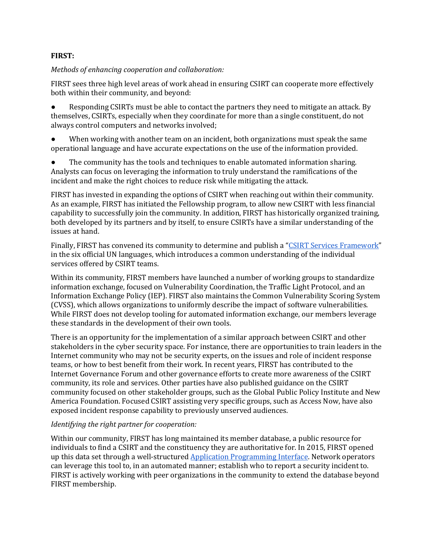### **FIRST:**

*Methods of enhancing cooperation and collaboration:*

FIRST sees three high level areas of work ahead in ensuring CSIRT can cooperate more effectively both within their community, and beyond:

Responding CSIRTs must be able to contact the partners they need to mitigate an attack. By themselves, CSIRTs, especially when they coordinate for more than a single constituent, do not always control computers and networks involved;

When working with another team on an incident, both organizations must speak the same operational language and have accurate expectations on the use of the information provided.

The community has the tools and techniques to enable automated information sharing. Analysts can focus on leveraging the information to truly understand the ramifications of the incident and make the right choices to reduce risk while mitigating the attack.

FIRST has invested in expanding the options of CSIRT when reaching out within their community. As an example, FIRST has initiated the Fellowship program, to allow new CSIRT with less financial capability to successfully join the community. In addition, FIRST has historically organized training, both developed by its partners and by itself, to ensure CSIRTs have a similar understanding of the issues at hand.

Finally, FIRST has convened its community to determine and publish a "[CSIRT Services Framework](https://www.first.org/global/education)" in the six official UN languages, which introduces a common understanding of the individual services offered by CSIRT teams.

Within its community, FIRST members have launched a number of working groups to standardize information exchange, focused on Vulnerability Coordination, the Traffic Light Protocol, and an Information Exchange Policy (IEP). FIRST also maintains the Common Vulnerability Scoring System (CVSS), which allows organizations to uniformly describe the impact of software vulnerabilities. While FIRST does not develop tooling for automated information exchange, our members leverage these standards in the development of their own tools.

There is an opportunity for the implementation of a similar approach between CSIRT and other stakeholders in the cyber security space. For instance, there are opportunities to train leaders in the Internet community who may not be security experts, on the issues and role of incident response teams, or how to best benefit from their work. In recent years, FIRST has contributed to the Internet Governance Forum and other governance efforts to create more awareness of the CSIRT community, its role and services. Other parties have also published guidance on the CSIRT community focused on other stakeholder groups, such as the Global Public Policy Institute and New America Foundation. Focused CSIRT assisting very specific groups, such as Access Now, have also exposed incident response capability to previously unserved audiences.

### *Identifying the right partner for cooperation:*

Within our community, FIRST has long maintained its member database, a public resource for individuals to find a CSIRT and the constituency they are authoritative for. In 2015, FIRST opened up this data set through a well-structured [Application Programming Interface.](https://api.first.org/) Network operators can leverage this tool to, in an automated manner; establish who to report a security incident to. FIRST is actively working with peer organizations in the community to extend the database beyond FIRST membership.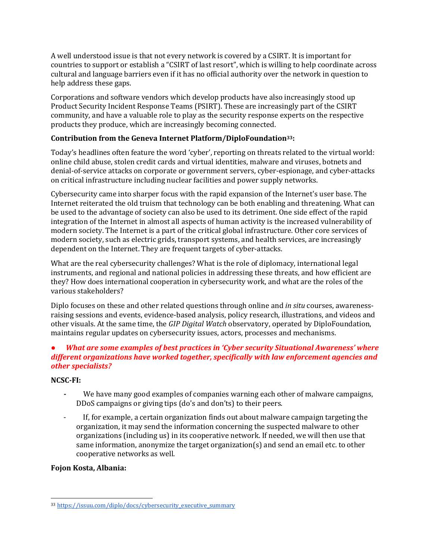A well understood issue is that not every network is covered by a CSIRT. It is important for countries to support or establish a "CSIRT of last resort", which is willing to help coordinate across cultural and language barriers even if it has no official authority over the network in question to help address these gaps.

Corporations and software vendors which develop products have also increasingly stood up Product Security Incident Response Teams (PSIRT). These are increasingly part of the CSIRT community, and have a valuable role to play as the security response experts on the respective products they produce, which are increasingly becoming connected.

## **Contribution from the Geneva Internet Platform/DiploFoundation33:**

Today's headlines often feature the word 'cyber', reporting on threats related to the virtual world: online child abuse, stolen credit cards and virtual identities, malware and viruses, botnets and denial-of-service attacks on corporate or government servers, cyber-espionage, and cyber-attacks on critical infrastructure including nuclear facilities and power supply networks.

Cybersecurity came into sharper focus with the rapid expansion of the Internet's user base. The Internet reiterated the old truism that technology can be both enabling and threatening. What can be used to the advantage of society can also be used to its detriment. One side effect of the rapid integration of the Internet in almost all aspects of human activity is the increased vulnerability of modern society. The Internet is a part of the critical global infrastructure. Other core services of modern society, such as electric grids, transport systems, and health services, are increasingly dependent on the Internet. They are frequent targets of cyber-attacks.

What are the real cybersecurity challenges? What is the role of diplomacy, international legal instruments, and regional and national policies in addressing these threats, and how efficient are they? How does international cooperation in cybersecurity work, and what are the roles of the various stakeholders?

Diplo focuses on these and other related questions throug[h online and](http://www.diplomacy.edu/courses/cybersecurity) *[in situ](http://www.diplomacy.edu/courses/cybersecurity)* [courses,](http://www.diplomacy.edu/courses/cybersecurity) awarenessraising sessions and events, evidence-based analysis, policy research, illustrations, and videos and other visuals. At the same time, the *[GIP Digital Watch](http://digitalwatch.giplatform.org/baskets/security)* [observatory,](http://digitalwatch.giplatform.org/baskets/security) operated by DiploFoundation, maintains regular updates on cybersecurity issues, actors, processes and mechanisms.

## *● What are some examples of best practices in 'Cyber security Situational Awareness' where different organizations have worked together, specifically with law enforcement agencies and other specialists?*

#### **NCSC-FI:**

- We have many good examples of companies warning each other of malware campaigns, DDoS campaigns or giving tips (do's and don'ts) to their peers.
- If, for example, a certain organization finds out about malware campaign targeting the organization, it may send the information concerning the suspected malware to other organizations (including us) in its cooperative network. If needed, we will then use that same information, anonymize the target organization(s) and send an email etc. to other cooperative networks as well.

#### **Fojon Kosta, Albania:**

 $\overline{a}$ <sup>33</sup> [https://issuu.com/diplo/docs/cybersecurity\\_executive\\_summary](https://issuu.com/diplo/docs/cybersecurity_executive_summary)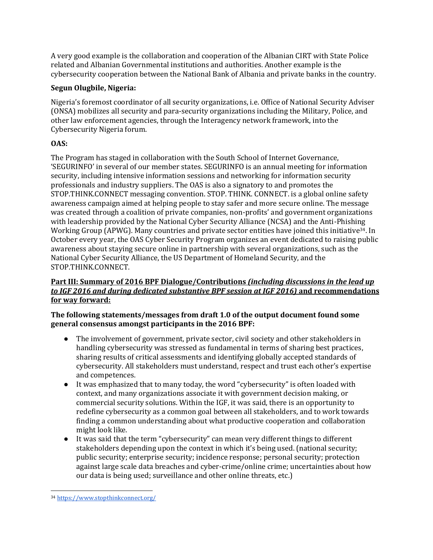A very good example is the collaboration and cooperation of the Albanian CIRT with State Police related and Albanian Governmental institutions and authorities. Another example is the cybersecurity cooperation between the National Bank of Albania and private banks in the country.

## **Segun Olugbile, Nigeria:**

Nigeria's foremost coordinator of all security organizations, i.e. Office of National Security Adviser (ONSA) mobilizes all security and para-security organizations including the Military, Police, and other law enforcement agencies, through the Interagency network framework, into the Cybersecurity Nigeria forum.

# **OAS:**

The Program has staged in collaboration with the South School of Internet Governance, 'SEGURINFO' in several of our member states. SEGURINFO is an annual meeting for information security, including intensive information sessions and networking for information security professionals and industry suppliers. The OAS is also a signatory to and promotes the STOP.THINK.CONNECT messaging convention. STOP. THINK. CONNECT. is a global online safety awareness campaign aimed at helping people to stay safer and more secure online. The message was created through a coalition of private companies, non-profits' and government organizations with leadership provided by the National Cyber Security Alliance (NCSA) and the Anti-Phishing Working Group (APWG). Many countries and private sector entities have joined this initiative<sup>34</sup>. In October every year, the OAS Cyber Security Program organizes an event dedicated to raising public awareness about staying secure online in partnership with several organizations, such as the National Cyber Security Alliance, the US Department of Homeland Security, and the STOP.THINK.CONNECT.

## **Part III: Summary of 2016 BPF Dialogue/Contributions** *(including discussions in the lead up to IGF 2016 and during dedicated substantive BPF session at IGF 2016)* **and recommendations for way forward:**

**The following statements/messages from draft 1.0 of the output document found some general consensus amongst participants in the 2016 BPF:**

- The involvement of government, private sector, civil society and other stakeholders in handling cybersecurity was stressed as fundamental in terms of sharing best practices, sharing results of critical assessments and identifying globally accepted standards of cybersecurity. All stakeholders must understand, respect and trust each other's expertise and competences.
- It was emphasized that to many today, the word "cybersecurity" is often loaded with context, and many organizations associate it with government decision making, or commercial security solutions. Within the IGF, it was said, there is an opportunity to redefine cybersecurity as a common goal between all stakeholders, and to work towards finding a common understanding about what productive cooperation and collaboration might look like.
- It was said that the term "cybersecurity" can mean very different things to different stakeholders depending upon the context in which it's being used. (national security; public security; enterprise security; incidence response; personal security; protection against large scale data breaches and cyber-crime/online crime; uncertainties about how our data is being used; surveillance and other online threats, etc.)

 $\overline{a}$ <sup>34</sup> <https://www.stopthinkconnect.org/>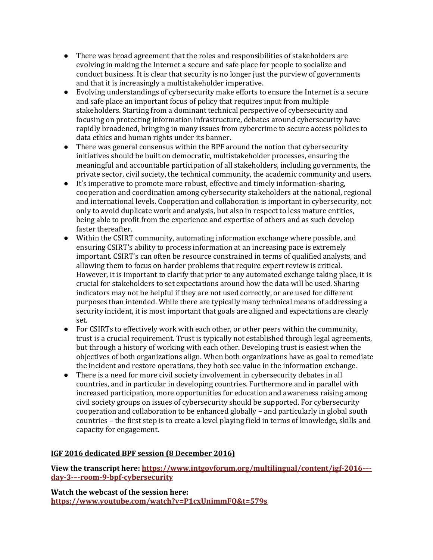- There was broad agreement that the roles and responsibilities of stakeholders are evolving in making the Internet a secure and safe place for people to socialize and conduct business. It is clear that security is no longer just the purview of governments and that it is increasingly a multistakeholder imperative.
- Evolving understandings of cybersecurity make efforts to ensure the Internet is a secure and safe place an important focus of policy that requires input from multiple stakeholders. Starting from a dominant technical perspective of cybersecurity and focusing on protecting information infrastructure, debates around cybersecurity have rapidly broadened, bringing in many issues from cybercrime to secure access policies to data ethics and human rights under its banner.
- There was general consensus within the BPF around the notion that cybersecurity initiatives should be built on democratic, multistakeholder processes, ensuring the meaningful and accountable participation of all stakeholders, including governments, the private sector, civil society, the technical community, the academic community and users.
- It's imperative to promote more robust, effective and timely information-sharing, cooperation and coordination among cybersecurity stakeholders at the national, regional and international levels. Cooperation and collaboration is important in cybersecurity, not only to avoid duplicate work and analysis, but also in respect to less mature entities, being able to profit from the experience and expertise of others and as such develop faster thereafter.
- Within the CSIRT community, automating information exchange where possible, and ensuring CSIRT's ability to process information at an increasing pace is extremely important. CSIRT's can often be resource constrained in terms of qualified analysts, and allowing them to focus on harder problems that require expert review is critical. However, it is important to clarify that prior to any automated exchange taking place, it is crucial for stakeholders to set expectations around how the data will be used. Sharing indicators may not be helpful if they are not used correctly, or are used for different purposes than intended. While there are typically many technical means of addressing a security incident, it is most important that goals are aligned and expectations are clearly set.
- For CSIRTs to effectively work with each other, or other peers within the community, trust is a crucial requirement. Trust is typically not established through legal agreements, but through a history of working with each other. Developing trust is easiest when the objectives of both organizations align. When both organizations have as goal to remediate the incident and restore operations, they both see value in the information exchange.
- There is a need for more civil society involvement in cybersecurity debates in all countries, and in particular in developing countries. Furthermore and in parallel with increased participation, more opportunities for education and awareness raising among civil society groups on issues of cybersecurity should be supported. For cybersecurity cooperation and collaboration to be enhanced globally – and particularly in global south countries – the first step is to create a level playing field in terms of knowledge, skills and capacity for engagement.

### **IGF 2016 dedicated BPF session (8 December 2016)**

**View the transcript here[: https://www.intgovforum.org/multilingual/content/igf-2016-](https://www.intgovforum.org/multilingual/content/igf-2016-%E2%80%93-day-3-%E2%80%93-room-9-bpf-cybersecurity)– day-3-–[-room-9-bpf-cybersecurity](https://www.intgovforum.org/multilingual/content/igf-2016-%E2%80%93-day-3-%E2%80%93-room-9-bpf-cybersecurity)**

**Watch the webcast of the session here: <https://www.youtube.com/watch?v=P1cxUnimmFQ&t=579s>**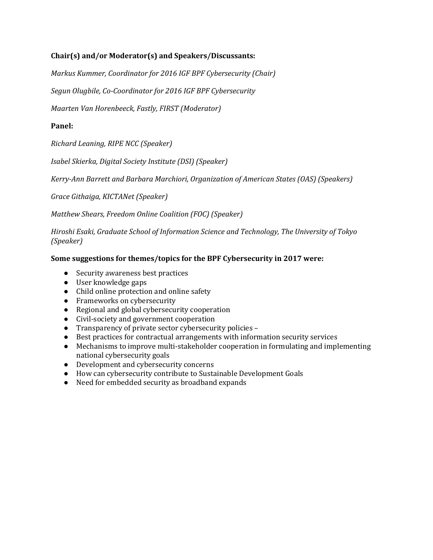## **Chair(s) and/or Moderator(s) and Speakers/Discussants:**

*Markus Kummer, Coordinator for 2016 IGF BPF Cybersecurity (Chair)*

*Segun Olugbile, Co-Coordinator for 2016 IGF BPF Cybersecurity*

*Maarten Van Horenbeeck, Fastly, FIRST (Moderator)*

### **Panel:**

*Richard Leaning, RIPE NCC (Speaker)*

*Isabel Skierka, Digital Society Institute (DSI) (Speaker)*

*Kerry-Ann Barrett and Barbara Marchiori, Organization of American States (OAS) (Speakers)*

*Grace Githaiga, KICTANet (Speaker)*

*Matthew Shears, Freedom Online Coalition (FOC) (Speaker)*

*Hiroshi Esaki, Graduate School of Information Science and Technology, The University of Tokyo (Speaker)*

### **Some suggestions for themes/topics for the BPF Cybersecurity in 2017 were:**

- Security awareness best practices
- User knowledge gaps
- Child online protection and online safety
- Frameworks on cybersecurity
- Regional and global cybersecurity cooperation
- Civil-society and government cooperation
- Transparency of private sector cybersecurity policies –
- Best practices for contractual arrangements with information security services
- Mechanisms to improve multi-stakeholder cooperation in formulating and implementing national cybersecurity goals
- Development and cybersecurity concerns
- How can cybersecurity contribute to Sustainable Development Goals
- Need for embedded security as broadband expands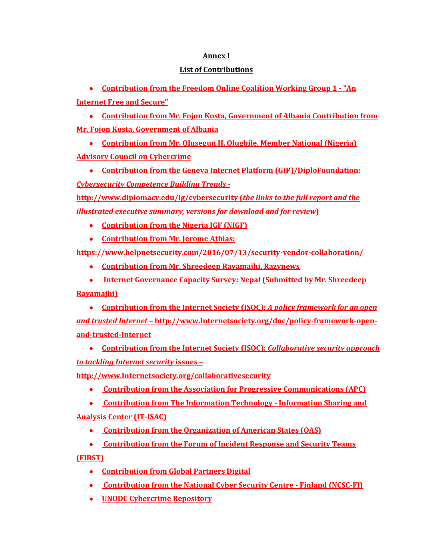## **Annex I**

## **List of Contributions**

● **[Contribution from the Freedom Online Coalition Working Group 1 -](http://www.intgovforum.org/cms/documents/best-practice-forums/886-foc-wg1-submission-igf-bpf-cyber) "An [Internet Free and Secure"](http://www.intgovforum.org/cms/documents/best-practice-forums/886-foc-wg1-submission-igf-bpf-cyber)**

● **[Contribution from Mr. Fojon Kosta, Government of Albania](http://www.intgovforum.org/cms/documents/best-practice-forums/885-call-for-contributions-igf-2016-bpfcybersecurity-fotjon-kosta) [Contribution from](http://www.intgovforum.org/cms/documents/best-practice-forums/885-call-for-contributions-igf-2016-bpfcybersecurity-fotjon-kosta)  [Mr. Fojon Kosta, Government of Albania](http://www.intgovforum.org/cms/documents/best-practice-forums/885-call-for-contributions-igf-2016-bpfcybersecurity-fotjon-kosta)**

● **[Contribution from Mr. Olusegun H. Olugbile, Member National \(Nigeria\)](http://www.intgovforum.org/cms/documents/best-practice-forums/887-response-to-bpf-on-cybersecurity)  [Advisory Council on Cybercrime](http://www.intgovforum.org/cms/documents/best-practice-forums/887-response-to-bpf-on-cybersecurity)**

● **Contribution from the Geneva Internet Platform (GIP)/DiploFoundation:**  *Cybersecurity Competence Building Trends* **-**

**<http://www.diplomacy.edu/ig/cybersecurity> (***the links to the full report and the illustrated executive summary, versions for download and for review***)**

- **[Contribution from the Nigeria IGF \(NIGF\)](http://www.intgovforum.org/cms/documents/best-practice-forums/880-response-to-bpf-on-cybersecurity-by-nigf)**
- **Contribution from Mr. Jerome Athias:**

**<https://www.helpnetsecurity.com/2016/07/13/security-vendor-collaboration/>**

● **[Contribution from Mr. Shreedeep Rayamajhi, Razynews](http://www.intgovforum.org/cms/documents/best-practice-forums/883-contribution-igf-2016-bpf-cybersecurity-by-shreedeep-rayamajhi-rayznews)**

● **[Internet Governance Capacity Survey: Nepal](http://www.intgovforum.org/cms/documents/best-practice-forums/884-internet-governance-capacity-survey-nepal-2016) (Submitted by Mr. Shreedeep Rayamajhi)**

● **Contribution from the Internet Society (ISOC):** *A policy framework for an open and trusted Internet* **– [http://www.Internetsociety.org/doc/policy-framework-open](http://www.internetsociety.org/doc/policy-framework-open-and-trusted-internet)[and-trusted-Internet](http://www.internetsociety.org/doc/policy-framework-open-and-trusted-internet)**

● **Contribution from the Internet Society (ISOC):** *Collaborative security approach to tackling Internet security* **issues –**

**[http://www.Internetsociety.org/collaborativesecurity](http://www.internetsociety.org/collaborativesecurity)**

● **[Contribution from the Association for Progressive Communications \(APC\)](http://www.intgovforum.org/cms/documents/best-practice-forums/893-2016-igf-best-practice-forum-on-cybersecurityapc)**

● **[Contribution from The Information Technology -](http://www.intgovforum.org/cms/documents/best-practice-forums/890-igf-input) Information Sharing and [Analysis Center \(IT-ISAC\)](http://www.intgovforum.org/cms/documents/best-practice-forums/890-igf-input)**

- **[Contribution from the Organization of American States \(OAS\)](http://www.intgovforum.org/cms/documents/best-practice-forums/891-response-to-bpf-on-cybersecurityoas)**
- **[Contribution from the Forum of Incident Response and Security Teams](http://www.intgovforum.org/cms/documents/best-practice-forums/895-first-contribution-to-the-2016-igf-bpf-on-cybersecurity)**

**[\(FIRST\)](http://www.intgovforum.org/cms/documents/best-practice-forums/895-first-contribution-to-the-2016-igf-bpf-on-cybersecurity)** 

- **[Contribution from Global Partners Digital](http://www.intgovforum.org/cms/documents/best-practice-forums/894-igf-best-practices-forum-global-partners-digital-contribution)**
- **[Contribution from the National Cyber Security Centre -](http://www.intgovforum.org/cms/documents/best-practice-forums/896-ficora-ncsc-fi-answers-igf-bpf-29-08-2016-1) Finland (NCSC-FI)**
- **[UNODC Cybercrime Repository](https://www.unodc.org/cld/en/v3/cybrepo/index.html)**